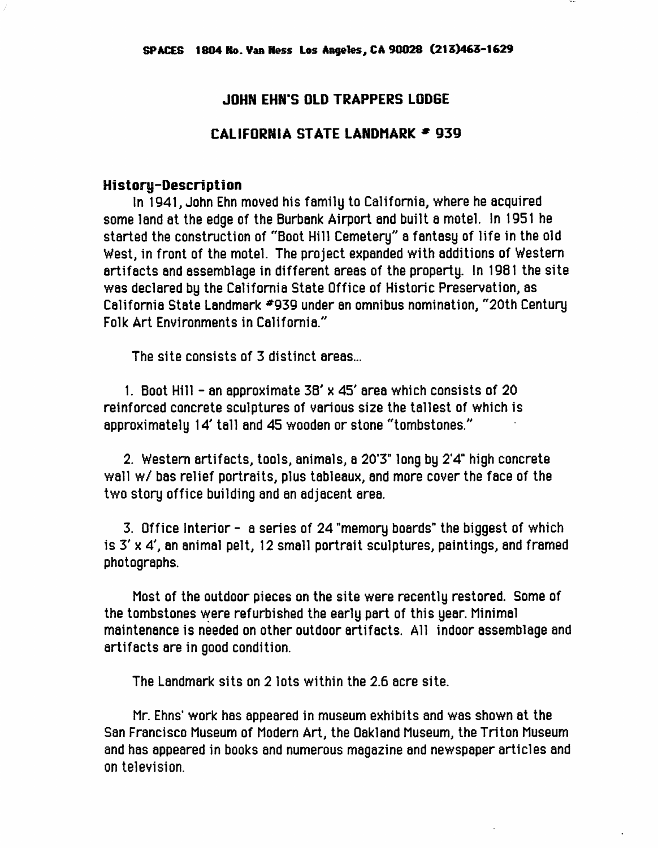## JOHN EHN'S OLD TRAPPERS LODGE

## CALIFORNIA STATE LANDMARK = 939

## History-Description

In 1941, John Ehn nnoved his fannily to California, where he acquired some land at the edge of the Burbank Airport and built a motel. In 1951 he started the construction of "Boot Hill Cemetery" a fantasy of life in the old West, in front of the motel. The project expanded with additions of Western artifacts and assemblage in different areas of the property. In 1981 the site was declared by the California State Office of Historic Preservation, as California State Landmark #939 under an omnibus nomination, "20th Century Folk Art Environments in California."

The site consists of 3 distinct areas...

1. Boot Hill - an approximate 38' x 45' area which consists of 20 reinforced concrete sculptures of various size the tallest of which is approximately 14' tall and 45 wooden or stone "tombstones."

2. Western artifacts, tools, animals, a 20'3" long by 2'4'' high concrete wall w/ bas relief portraits, plus tableaux, and more cover the face of the two story office building and an adjacent area.

3. Office Interior - a series of 24 "memory boards" the biggest of which is  $3' \times 4'$ , an animal pelt, 12 small portrait sculptures, paintings, and framed photographs.

Most of the outdoor pieces on the site were recently restored. Some of the tombstones were refurbished the early part of this year. Minimal maintenance is needed on other outdoor artifacts. All indoor assemblage and artifacts are in good condition.

The Landmark sits on 2 lots within the 2.6 acre site.

Mr. Ehns' work has appeared in museum exhibits and was shown at the San Francisco Museum of Modern Art, the Oakland Museum, the Triton Museum and has appeared in books and numerous magazine and newspaper articles and on television.